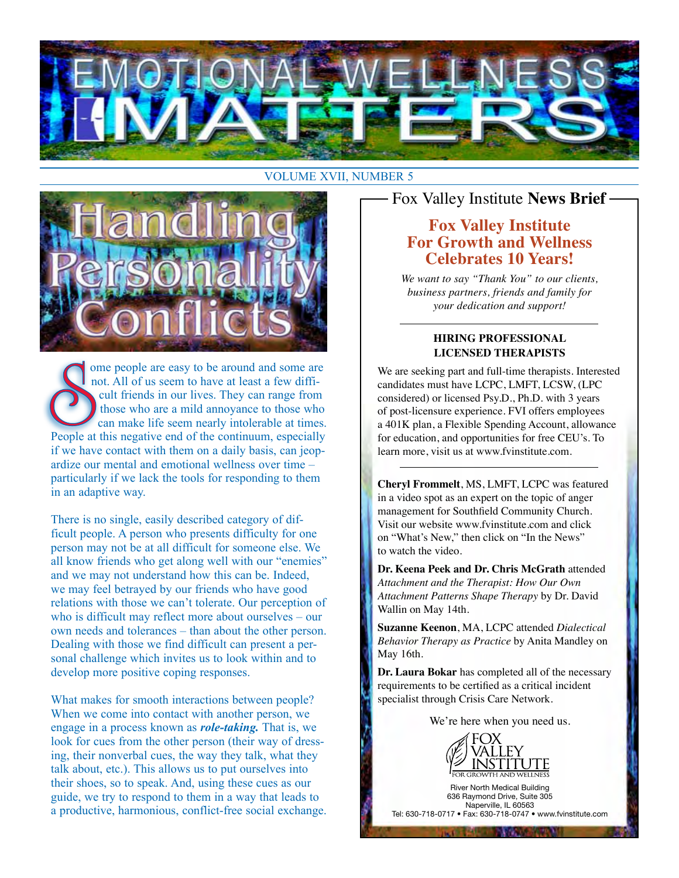

#### VOLUME XVII, NUMBER 5



ome people are easy to be around and some are not. All of us seem to have at least a few difficult friends in our lives. They can range from those who are a mild annoyance to those who can make life seem nearly intolerable at times. People at this negative end of the continuum, especially if we have contact with them on a daily basis, can jeopardize our mental and emotional wellness over time – particularly if we lack the tools for responding to them in an adaptive way.

There is no single, easily described category of difficult people. A person who presents difficulty for one person may not be at all difficult for someone else. We all know friends who get along well with our "enemies" and we may not understand how this can be. Indeed, we may feel betrayed by our friends who have good relations with those we can't tolerate. Our perception of who is difficult may reflect more about ourselves – our own needs and tolerances – than about the other person. Dealing with those we find difficult can present a personal challenge which invites us to look within and to develop more positive coping responses.

What makes for smooth interactions between people? When we come into contact with another person, we engage in a process known as *role-taking.* That is, we look for cues from the other person (their way of dressing, their nonverbal cues, the way they talk, what they talk about, etc.). This allows us to put ourselves into their shoes, so to speak. And, using these cues as our guide, we try to respond to them in a way that leads to a productive, harmonious, conflict-free social exchange. Fox Valley Institute **News Brief**

# **Fox Valley Institute For Growth and Wellness Celebrates 10 Years!**

*We want to say "Thank You" to our clients, business partners, friends and family for your dedication and support!*

#### **HIRING PROFESSIONAL LICENSED THERAPISTS**

We are seeking part and full-time therapists. Interested candidates must have LCPC, LMFT, LCSW, (LPC considered) or licensed Psy.D., Ph.D. with 3 years of post-licensure experience. FVI offers employees a 401K plan, a Flexible Spending Account, allowance for education, and opportunities for free CEU's. To learn more, visit us at www.fvinstitute.com.

**Cheryl Frommelt**, MS, LMFT, LCPC was featured in a video spot as an expert on the topic of anger management for Southfield Community Church. Visit our website www.fvinstitute.com and click on "What's New," then click on "In the News" to watch the video.

**Dr. Keena Peek and Dr. Chris McGrath** attended *Attachment and the Therapist: How Our Own Attachment Patterns Shape Therapy* by Dr. David Wallin on May 14th.

**Suzanne Keenon**, MA, LCPC attended *Dialectical Behavior Therapy as Practice* by Anita Mandley on May 16th.

**Dr. Laura Bokar** has completed all of the necessary requirements to be certified as a critical incident specialist through Crisis Care Network.

We're here when you need us.



River North Medical Building 636 Raymond Drive, Suite 305 Naperville, IL 60563 Tel: 630-718-0717 • Fax: 630-718-0747 • www.fvinstitute.com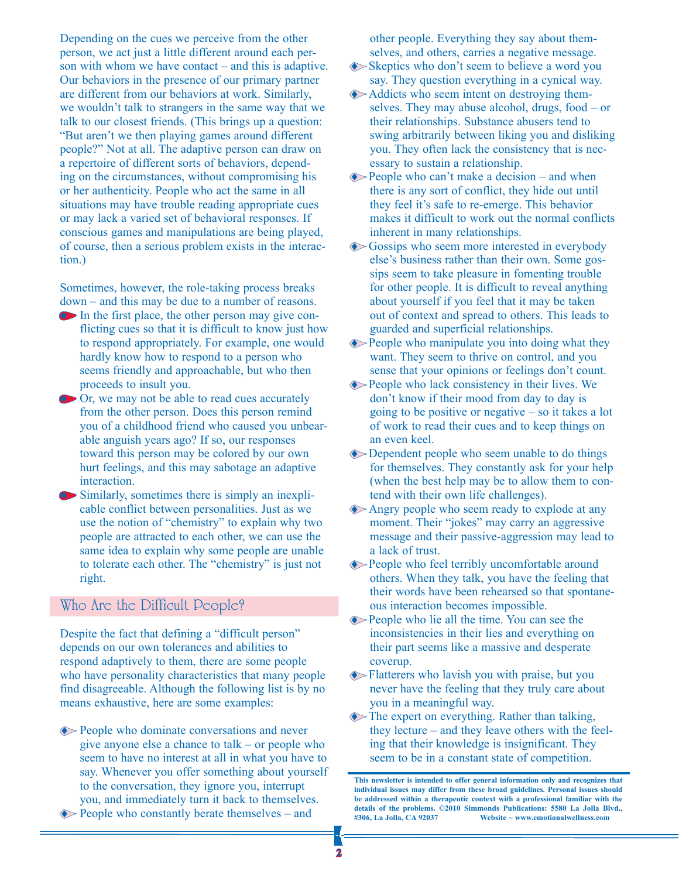Depending on the cues we perceive from the other person, we act just a little different around each person with whom we have contact – and this is adaptive. Our behaviors in the presence of our primary partner are different from our behaviors at work. Similarly, we wouldn't talk to strangers in the same way that we talk to our closest friends. (This brings up a question: "But aren't we then playing games around different people?" Not at all. The adaptive person can draw on a repertoire of different sorts of behaviors, depending on the circumstances, without compromising his or her authenticity. People who act the same in all situations may have trouble reading appropriate cues or may lack a varied set of behavioral responses. If conscious games and manipulations are being played, of course, then a serious problem exists in the interaction.)

Sometimes, however, the role-taking process breaks down – and this may be due to a number of reasons.

- $\bullet$  In the first place, the other person may give conflicting cues so that it is difficult to know just how to respond appropriately. For example, one would hardly know how to respond to a person who seems friendly and approachable, but who then proceeds to insult you.
- **Or, we may not be able to read cues accurately** from the other person. Does this person remind you of a childhood friend who caused you unbearable anguish years ago? If so, our responses toward this person may be colored by our own hurt feelings, and this may sabotage an adaptive interaction.
- $\bullet$  Similarly, sometimes there is simply an inexplicable conflict between personalities. Just as we use the notion of "chemistry" to explain why two people are attracted to each other, we can use the same idea to explain why some people are unable to tolerate each other. The "chemistry" is just not right.

# Who Are the Difficult People?

Despite the fact that defining a "difficult person" depends on our own tolerances and abilities to respond adaptively to them, there are some people who have personality characteristics that many people find disagreeable. Although the following list is by no means exhaustive, here are some examples:

 $\Diamond$  People who dominate conversations and never give anyone else a chance to talk – or people who seem to have no interest at all in what you have to say. Whenever you offer something about yourself to the conversation, they ignore you, interrupt you, and immediately turn it back to themselves.  $\Diamond$  People who constantly berate themselves – and

other people. Everything they say about themselves, and others, carries a negative message.

- $\diamond$ Skeptics who don't seem to believe a word you say. They question everything in a cynical way.
- Addicts who seem intent on destroying themselves. They may abuse alcohol, drugs, food – or their relationships. Substance abusers tend to swing arbitrarily between liking you and disliking you. They often lack the consistency that is necessary to sustain a relationship.
- $\Diamond$  People who can't make a decision and when there is any sort of conflict, they hide out until they feel it's safe to re-emerge. This behavior makes it difficult to work out the normal conflicts inherent in many relationships.
- $\diamond$  Gossips who seem more interested in everybody else's business rather than their own. Some gossips seem to take pleasure in fomenting trouble for other people. It is difficult to reveal anything about yourself if you feel that it may be taken out of context and spread to others. This leads to guarded and superficial relationships.
- $\Diamond$  People who manipulate you into doing what they want. They seem to thrive on control, and you sense that your opinions or feelings don't count.
- $\Diamond$  People who lack consistency in their lives. We don't know if their mood from day to day is going to be positive or negative – so it takes a lot of work to read their cues and to keep things on an even keel.
- $\Diamond$  Dependent people who seem unable to do things for themselves. They constantly ask for your help (when the best help may be to allow them to contend with their own life challenges).
- Angry people who seem ready to explode at any moment. Their "jokes" may carry an aggressive message and their passive-aggression may lead to a lack of trust.
- $\Diamond$  People who feel terribly uncomfortable around others. When they talk, you have the feeling that their words have been rehearsed so that spontaneous interaction becomes impossible.
- $\Diamond$  People who lie all the time. You can see the inconsistencies in their lies and everything on their part seems like a massive and desperate coverup.
- $\blacklozenge$  Flatterers who lavish you with praise, but you never have the feeling that they truly care about you in a meaningful way.
- $\Diamond$  The expert on everything. Rather than talking, they lecture – and they leave others with the feeling that their knowledge is insignificant. They seem to be in a constant state of competition.

**This newsletter is intended to offer general information only and recognizes that individual issues may differ from these broad guidelines. Personal issues should be addressed within a therapeutic context with a professional familiar with the details of the problems. ©2010 Simmonds Publications: 5580 La Jolla Blvd., #306, La Jolla, CA 92037 Website ~ www.emotionalwellness.com**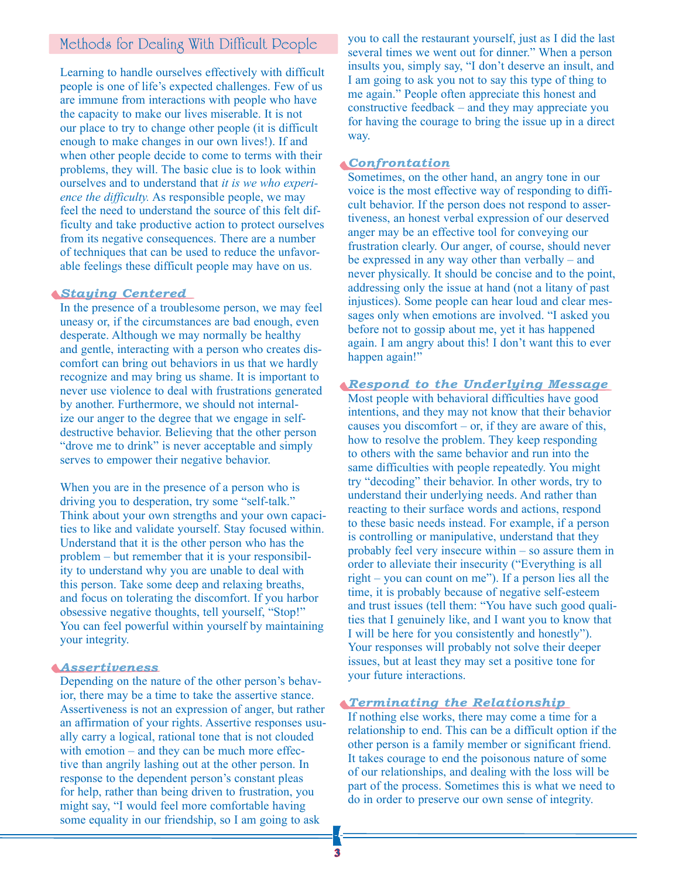### Methods for Dealing With Difficult People

Learning to handle ourselves effectively with difficult people is one of life's expected challenges. Few of us are immune from interactions with people who have the capacity to make our lives miserable. It is not our place to try to change other people (it is difficult enough to make changes in our own lives!). If and when other people decide to come to terms with their problems, they will. The basic clue is to look within ourselves and to understand that *it is we who experience the difficulty.* As responsible people, we may feel the need to understand the source of this felt difficulty and take productive action to protect ourselves from its negative consequences. There are a number of techniques that can be used to reduce the unfavorable feelings these difficult people may have on us.

#### *Staying Centered*

In the presence of a troublesome person, we may feel uneasy or, if the circumstances are bad enough, even desperate. Although we may normally be healthy and gentle, interacting with a person who creates discomfort can bring out behaviors in us that we hardly recognize and may bring us shame. It is important to never use violence to deal with frustrations generated by another. Furthermore, we should not internalize our anger to the degree that we engage in selfdestructive behavior. Believing that the other person "drove me to drink" is never acceptable and simply serves to empower their negative behavior.

When you are in the presence of a person who is driving you to desperation, try some "self-talk." Think about your own strengths and your own capacities to like and validate yourself. Stay focused within. Understand that it is the other person who has the problem – but remember that it is your responsibility to understand why you are unable to deal with this person. Take some deep and relaxing breaths, and focus on tolerating the discomfort. If you harbor obsessive negative thoughts, tell yourself, "Stop!" You can feel powerful within yourself by maintaining your integrity.

#### *Assertiveness*

Depending on the nature of the other person's behavior, there may be a time to take the assertive stance. Assertiveness is not an expression of anger, but rather an affirmation of your rights. Assertive responses usually carry a logical, rational tone that is not clouded with emotion – and they can be much more effective than angrily lashing out at the other person. In response to the dependent person's constant pleas for help, rather than being driven to frustration, you might say, "I would feel more comfortable having some equality in our friendship, so I am going to ask

you to call the restaurant yourself, just as I did the last several times we went out for dinner." When a person insults you, simply say, "I don't deserve an insult, and I am going to ask you not to say this type of thing to me again." People often appreciate this honest and constructive feedback – and they may appreciate you for having the courage to bring the issue up in a direct way.

#### *Confrontation*

Sometimes, on the other hand, an angry tone in our voice is the most effective way of responding to difficult behavior. If the person does not respond to assertiveness, an honest verbal expression of our deserved anger may be an effective tool for conveying our frustration clearly. Our anger, of course, should never be expressed in any way other than verbally – and never physically. It should be concise and to the point, addressing only the issue at hand (not a litany of past injustices). Some people can hear loud and clear messages only when emotions are involved. "I asked you before not to gossip about me, yet it has happened again. I am angry about this! I don't want this to ever happen again!"

#### *Respond to the Underlying Message*

Most people with behavioral difficulties have good intentions, and they may not know that their behavior causes you discomfort – or, if they are aware of this, how to resolve the problem. They keep responding to others with the same behavior and run into the same difficulties with people repeatedly. You might try "decoding" their behavior. In other words, try to understand their underlying needs. And rather than reacting to their surface words and actions, respond to these basic needs instead. For example, if a person is controlling or manipulative, understand that they probably feel very insecure within – so assure them in order to alleviate their insecurity ("Everything is all right – you can count on me"). If a person lies all the time, it is probably because of negative self-esteem and trust issues (tell them: "You have such good qualities that I genuinely like, and I want you to know that I will be here for you consistently and honestly"). Your responses will probably not solve their deeper issues, but at least they may set a positive tone for your future interactions.

#### *Terminating the Relationship*

If nothing else works, there may come a time for a relationship to end. This can be a difficult option if the other person is a family member or significant friend. It takes courage to end the poisonous nature of some of our relationships, and dealing with the loss will be part of the process. Sometimes this is what we need to do in order to preserve our own sense of integrity.